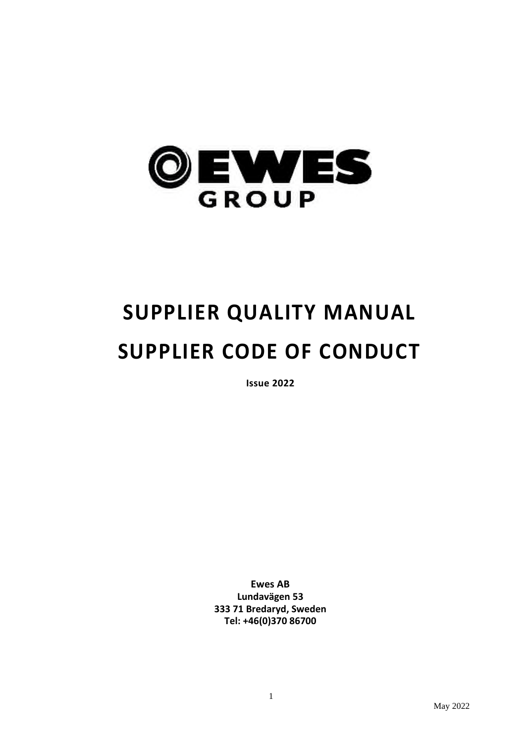

# **SUPPLIER QUALITY MANUAL SUPPLIER CODE OF CONDUCT**

**Issue 2022**

**Ewes AB Lundavägen 53 333 71 Bredaryd, Sweden Tel: +46(0)370 86700**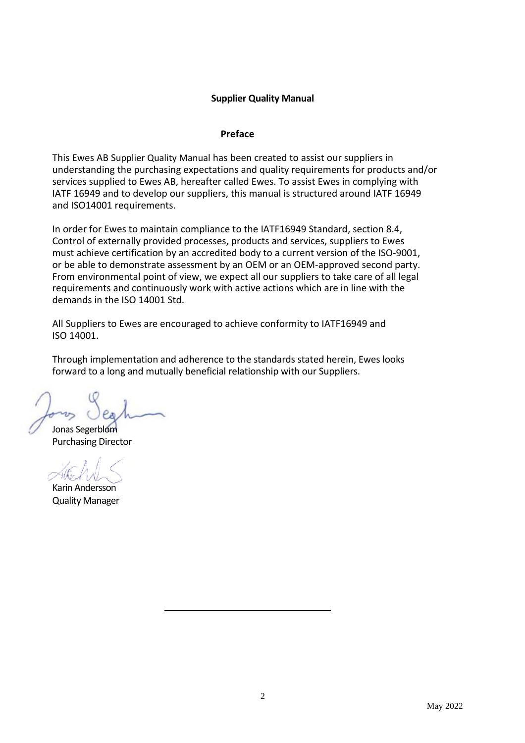## **Supplier Quality Manual**

#### **Preface**

This Ewes AB Supplier Quality Manual has been created to assist our suppliers in understanding the purchasing expectations and quality requirements for products and/or services supplied to Ewes AB, hereafter called Ewes. To assist Ewes in complying with IATF 16949 and to develop our suppliers, this manual is structured around IATF 16949 and ISO14001 requirements.

In order for Ewes to maintain compliance to the IATF16949 Standard, section 8.4, Control of externally provided processes, products and services, suppliers to Ewes must achieve certification by an accredited body to a current version of the ISO-9001, or be able to demonstrate assessment by an OEM or an OEM-approved second party. From environmental point of view, we expect all our suppliers to take care of all legal requirements and continuously work with active actions which are in line with the demands in the ISO 14001 Std.

All Suppliers to Ewes are encouraged to achieve conformity to IATF16949 and ISO 14001.

Through implementation and adherence to the standards stated herein, Ewes looks forward to a long and mutually beneficial relationship with our Suppliers.

Jonas Segerblom Purchasing Director

Karin Andersson Quality Manager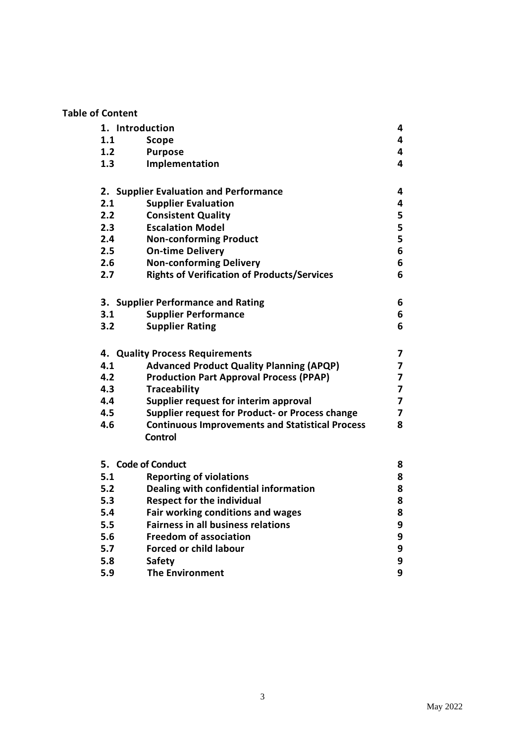# **Table of Content**

| 1. Introduction                        |                                                        | 4              |
|----------------------------------------|--------------------------------------------------------|----------------|
| 1.1                                    | Scope                                                  | 4              |
| 1.2                                    | <b>Purpose</b>                                         | 4              |
| 1.3                                    | Implementation                                         | 4              |
|                                        |                                                        |                |
| 2. Supplier Evaluation and Performance |                                                        | 4              |
| 2.1                                    | <b>Supplier Evaluation</b>                             | 4              |
| 2.2                                    | <b>Consistent Quality</b>                              | 5              |
| 2.3                                    | <b>Escalation Model</b>                                | 5              |
| 2.4                                    | <b>Non-conforming Product</b>                          | 5              |
| 2.5                                    | <b>On-time Delivery</b>                                | 6              |
| 2.6                                    | <b>Non-conforming Delivery</b>                         | 6              |
| 2.7                                    | <b>Rights of Verification of Products/Services</b>     | 6              |
|                                        |                                                        |                |
| 3. Supplier Performance and Rating     |                                                        | 6              |
| 3.1                                    | <b>Supplier Performance</b>                            | 6              |
| 3.2                                    | <b>Supplier Rating</b>                                 | 6              |
|                                        |                                                        |                |
| 4. Quality Process Requirements        |                                                        | 7              |
| 4.1                                    | <b>Advanced Product Quality Planning (APQP)</b>        | 7              |
| 4.2                                    | <b>Production Part Approval Process (PPAP)</b>         | 7              |
| 4.3                                    | <b>Traceability</b>                                    | 7              |
| 4.4                                    | Supplier request for interim approval                  | $\overline{7}$ |
| 4.5                                    | Supplier request for Product- or Process change        | 7              |
| 4.6                                    | <b>Continuous Improvements and Statistical Process</b> | 8              |
|                                        | Control                                                |                |
|                                        |                                                        |                |
| 5. Code of Conduct                     |                                                        | 8              |
| 5.1                                    | <b>Reporting of violations</b>                         | 8              |
| 5.2                                    | Dealing with confidential information                  | 8              |
| 5.3                                    | <b>Respect for the individual</b>                      | 8              |
| 5.4                                    | Fair working conditions and wages                      | 8              |
| 5.5                                    | <b>Fairness in all business relations</b>              | 9              |
| 5.6                                    | <b>Freedom of association</b>                          | 9              |
| 5.7                                    | <b>Forced or child labour</b>                          | 9              |
| 5.8                                    | <b>Safety</b>                                          | 9              |
| 5.9                                    | <b>The Environment</b>                                 | 9              |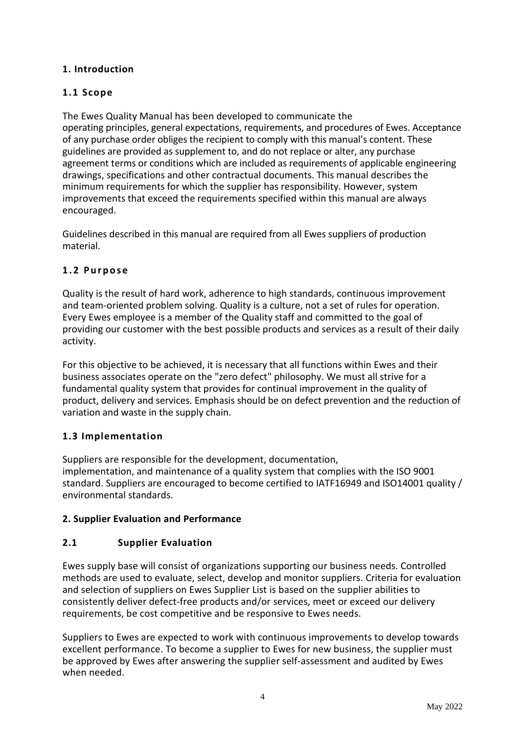# **1. Introduction**

# **1.1 Scope**

The Ewes Quality Manual has been developed to communicate the operating principles, general expectations, requirements, and procedures of Ewes. Acceptance of any purchase order obliges the recipient to comply with this manual's content. These guidelines are provided as supplement to, and do not replace or alter, any purchase agreement terms or conditions which are included as requirements of applicable engineering drawings, specifications and other contractual documents. This manual describes the minimum requirements for which the supplier has responsibility. However, system improvements that exceed the requirements specified within this manual are always encouraged.

Guidelines described in this manual are required from all Ewes suppliers of production material.

# **1 . 2 P u r p o s e**

Quality is the result of hard work, adherence to high standards, continuous improvement and team-oriented problem solving. Quality is a culture, not a set of rules for operation. Every Ewes employee is a member of the Quality staff and committed to the goal of providing our customer with the best possible products and services as a result of their daily activity.

For this objective to be achieved, it is necessary that all functions within Ewes and their business associates operate on the "zero defect" philosophy. We must all strive for a fundamental quality system that provides for continual improvement in the quality of product, delivery and services. Emphasis should be on defect prevention and the reduction of variation and waste in the supply chain.

# **1.3 Implementation**

Suppliers are responsible for the development, documentation, implementation, and maintenance of a quality system that complies with the ISO 9001 standard. Suppliers are encouraged to become certified to IATF16949 and ISO14001 quality / environmental standards.

# **2. Supplier Evaluation and Performance**

# **2.1 Supplier Evaluation**

Ewes supply base will consist of organizations supporting our business needs. Controlled methods are used to evaluate, select, develop and monitor suppliers. Criteria for evaluation and selection of suppliers on Ewes Supplier List is based on the supplier abilities to consistently deliver defect-free products and/or services, meet or exceed our delivery requirements, be cost competitive and be responsive to Ewes needs.

Suppliers to Ewes are expected to work with continuous improvements to develop towards excellent performance. To become a supplier to Ewes for new business, the supplier must be approved by Ewes after answering the supplier self-assessment and audited by Ewes when needed.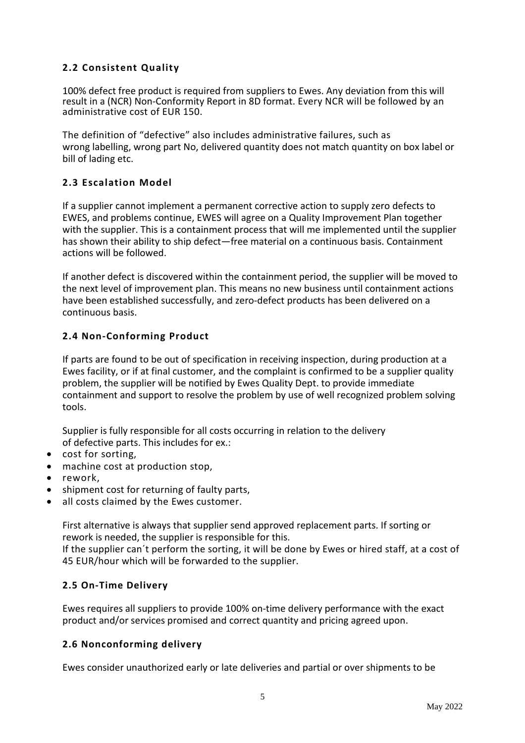# **2.2 Consistent Quality**

100% defect free product is required from suppliers to Ewes. Any deviation from this will result in a (NCR) Non-Conformity Report in 8D format. Every NCR will be followed by an administrative cost of EUR 150.

The definition of "defective" also includes administrative failures, such as wrong labelling, wrong part No, delivered quantity does not match quantity on box label or bill of lading etc.

# **2.3 Escalation Model**

If a supplier cannot implement a permanent corrective action to supply zero defects to EWES, and problems continue, EWES will agree on a Quality Improvement Plan together with the supplier. This is a containment process that will me implemented until the supplier has shown their ability to ship defect—free material on a continuous basis. Containment actions will be followed.

If another defect is discovered within the containment period, the supplier will be moved to the next level of improvement plan. This means no new business until containment actions have been established successfully, and zero-defect products has been delivered on a continuous basis.

## **2.4 Non-Conforming Product**

If parts are found to be out of specification in receiving inspection, during production at a Ewes facility, or if at final customer, and the complaint is confirmed to be a supplier quality problem, the supplier will be notified by Ewes Quality Dept. to provide immediate containment and support to resolve the problem by use of well recognized problem solving tools.

Supplier is fully responsible for all costs occurring in relation to the delivery of defective parts. This includes for ex.:

- cost for sorting,
- machine cost at production stop,
- rework,
- shipment cost for returning of faulty parts,
- all costs claimed by the Ewes customer.

First alternative is always that supplier send approved replacement parts. If sorting or rework is needed, the supplier is responsible for this.

If the supplier can´t perform the sorting, it will be done by Ewes or hired staff, at a cost of 45 EUR/hour which will be forwarded to the supplier.

#### **2.5 On-Time Delivery**

Ewes requires all suppliers to provide 100% on-time delivery performance with the exact product and/or services promised and correct quantity and pricing agreed upon.

# **2.6 Nonconforming delivery**

Ewes consider unauthorized early or late deliveries and partial or over shipments to be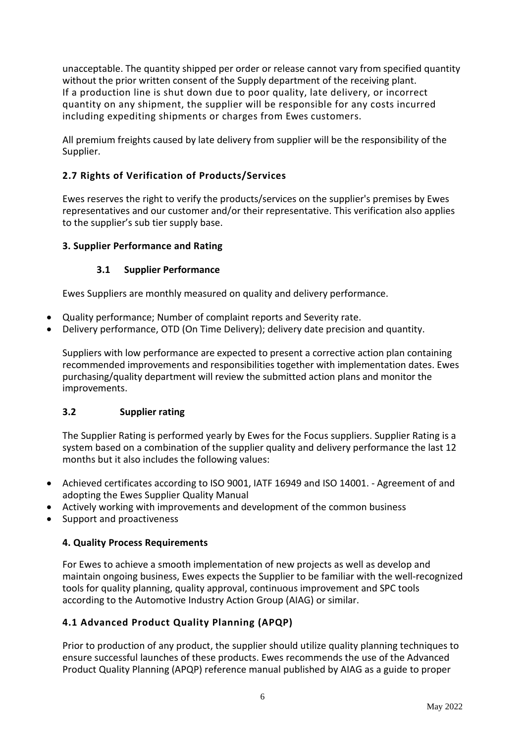unacceptable. The quantity shipped per order or release cannot vary from specified quantity without the prior written consent of the Supply department of the receiving plant. If a production line is shut down due to poor quality, late delivery, or incorrect quantity on any shipment, the supplier will be responsible for any costs incurred including expediting shipments or charges from Ewes customers.

All premium freights caused by late delivery from supplier will be the responsibility of the Supplier.

# **2.7 Rights of Verification of Products/Services**

Ewes reserves the right to verify the products/services on the supplier's premises by Ewes representatives and our customer and/or their representative. This verification also applies to the supplier's sub tier supply base.

## **3. Supplier Performance and Rating**

## **3.1 Supplier Performance**

Ewes Suppliers are monthly measured on quality and delivery performance.

- Quality performance; Number of complaint reports and Severity rate.
- Delivery performance, OTD (On Time Delivery); delivery date precision and quantity.

Suppliers with low performance are expected to present a corrective action plan containing recommended improvements and responsibilities together with implementation dates. Ewes purchasing/quality department will review the submitted action plans and monitor the improvements.

# **3.2 Supplier rating**

The Supplier Rating is performed yearly by Ewes for the Focus suppliers. Supplier Rating is a system based on a combination of the supplier quality and delivery performance the last 12 months but it also includes the following values:

- Achieved certificates according to ISO 9001, IATF 16949 and ISO 14001. Agreement of and adopting the Ewes Supplier Quality Manual
- Actively working with improvements and development of the common business
- Support and proactiveness

#### **4. Quality Process Requirements**

For Ewes to achieve a smooth implementation of new projects as well as develop and maintain ongoing business, Ewes expects the Supplier to be familiar with the well-recognized tools for quality planning, quality approval, continuous improvement and SPC tools according to the Automotive Industry Action Group (AIAG) or similar.

# **4.1 Advanced Product Quality Planning (APQP)**

Prior to production of any product, the supplier should utilize quality planning techniques to ensure successful launches of these products. Ewes recommends the use of the Advanced Product Quality Planning (APQP) reference manual published by AIAG as a guide to proper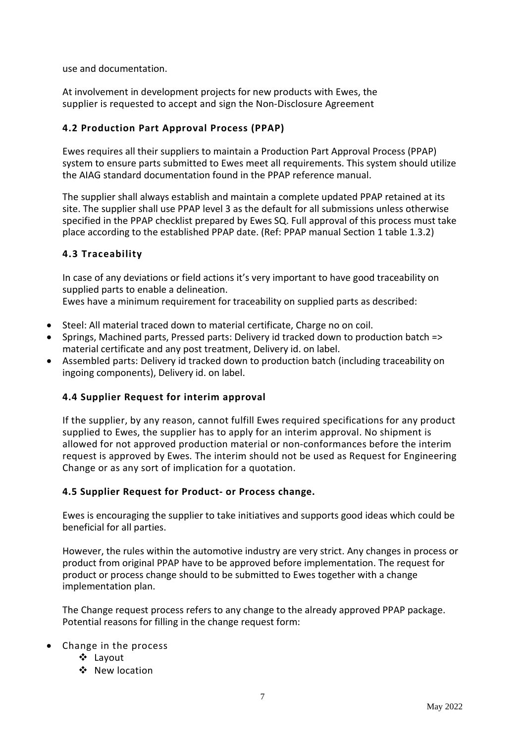use and documentation.

At involvement in development projects for new products with Ewes, the supplier is requested to accept and sign the Non-Disclosure Agreement

# **4.2 Production Part Approval Process (PPAP)**

Ewes requires all their suppliers to maintain a Production Part Approval Process (PPAP) system to ensure parts submitted to Ewes meet all requirements. This system should utilize the AIAG standard documentation found in the PPAP reference manual.

The supplier shall always establish and maintain a complete updated PPAP retained at its site. The supplier shall use PPAP level 3 as the default for all submissions unless otherwise specified in the PPAP checklist prepared by Ewes SQ. Full approval of this process must take place according to the established PPAP date. (Ref: PPAP manual Section 1 table 1.3.2)

# **4.3 Traceability**

In case of any deviations or field actions it's very important to have good traceability on supplied parts to enable a delineation.

Ewes have a minimum requirement for traceability on supplied parts as described:

- Steel: All material traced down to material certificate, Charge no on coil.
- Springs, Machined parts, Pressed parts: Delivery id tracked down to production batch => material certificate and any post treatment, Delivery id. on label.
- Assembled parts: Delivery id tracked down to production batch (including traceability on ingoing components), Delivery id. on label.

# **4.4 Supplier Request for interim approval**

If the supplier, by any reason, cannot fulfill Ewes required specifications for any product supplied to Ewes, the supplier has to apply for an interim approval. No shipment is allowed for not approved production material or non-conformances before the interim request is approved by Ewes. The interim should not be used as Request for Engineering Change or as any sort of implication for a quotation.

#### **4.5 Supplier Request for Product- or Process change.**

Ewes is encouraging the supplier to take initiatives and supports good ideas which could be beneficial for all parties.

However, the rules within the automotive industry are very strict. Any changes in process or product from original PPAP have to be approved before implementation. The request for product or process change should to be submitted to Ewes together with a change implementation plan.

The Change request process refers to any change to the already approved PPAP package. Potential reasons for filling in the change request form:

- Change in the process
	- Layout
	- ❖ New location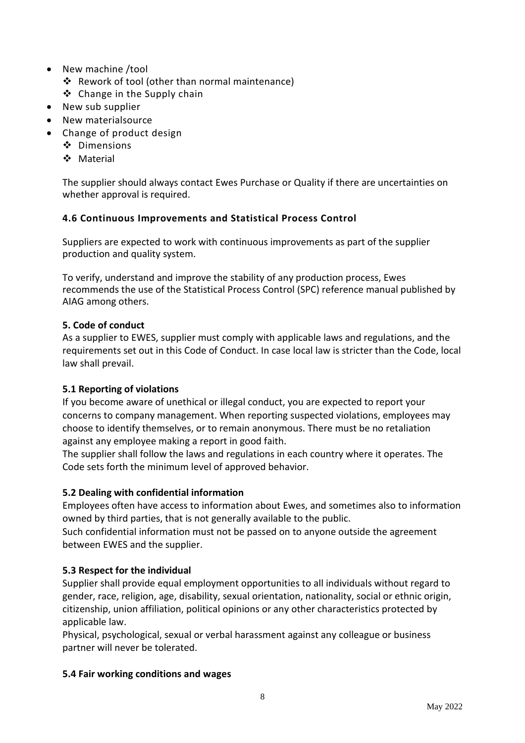- New machine /tool
	- Rework of tool (other than normal maintenance)
	- ❖ Change in the Supply chain
- New sub supplier
- New materialsource
- Change of product design
	- Dimensions
	- Material

The supplier should always contact Ewes Purchase or Quality if there are uncertainties on whether approval is required.

# **4.6 Continuous Improvements and Statistical Process Control**

Suppliers are expected to work with continuous improvements as part of the supplier production and quality system.

To verify, understand and improve the stability of any production process, Ewes recommends the use of the Statistical Process Control (SPC) reference manual published by AIAG among others.

# **5. Code of conduct**

As a supplier to EWES, supplier must comply with applicable laws and regulations, and the requirements set out in this Code of Conduct. In case local law is stricter than the Code, local law shall prevail.

# **5.1 Reporting of violations**

If you become aware of unethical or illegal conduct, you are expected to report your concerns to company management. When reporting suspected violations, employees may choose to identify themselves, or to remain anonymous. There must be no retaliation against any employee making a report in good faith.

The supplier shall follow the laws and regulations in each country where it operates. The Code sets forth the minimum level of approved behavior.

# **5.2 Dealing with confidential information**

Employees often have access to information about Ewes, and sometimes also to information owned by third parties, that is not generally available to the public.

Such confidential information must not be passed on to anyone outside the agreement between EWES and the supplier.

# **5.3 Respect for the individual**

Supplier shall provide equal employment opportunities to all individuals without regard to gender, race, religion, age, disability, sexual orientation, nationality, social or ethnic origin, citizenship, union affiliation, political opinions or any other characteristics protected by applicable law.

Physical, psychological, sexual or verbal harassment against any colleague or business partner will never be tolerated.

# **5.4 Fair working conditions and wages**